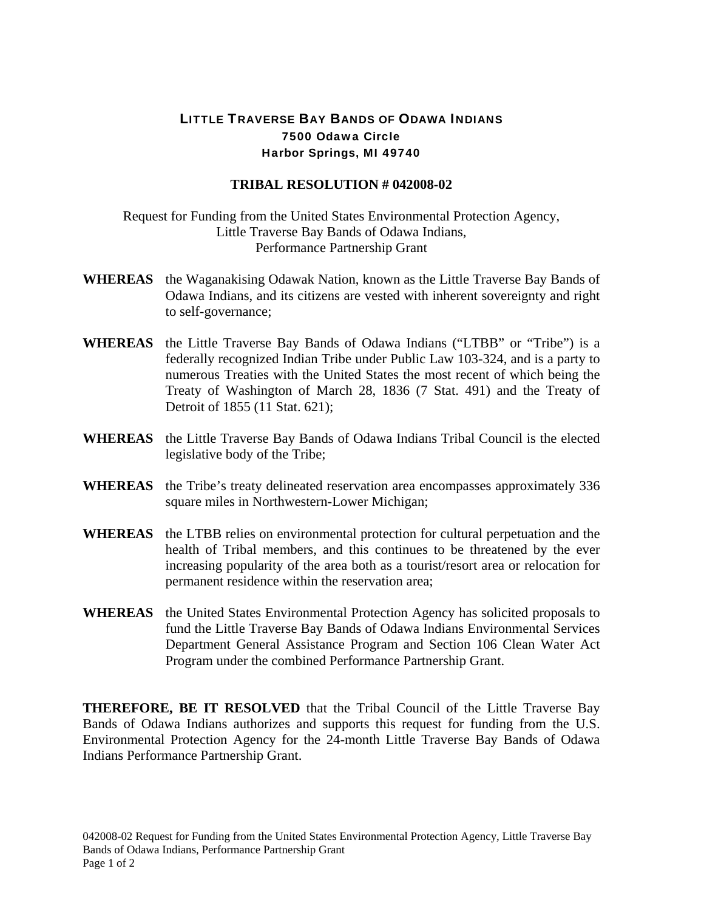## LITTLE TRAVERSE BAY BANDS OF ODAWA INDIANS 7500 Odawa Circle Harbor Springs, MI 49740

## **TRIBAL RESOLUTION # 042008-02**

Request for Funding from the United States Environmental Protection Agency, Little Traverse Bay Bands of Odawa Indians, Performance Partnership Grant

- **WHEREAS** the Waganakising Odawak Nation, known as the Little Traverse Bay Bands of Odawa Indians, and its citizens are vested with inherent sovereignty and right to self-governance;
- **WHEREAS** the Little Traverse Bay Bands of Odawa Indians ("LTBB" or "Tribe") is a federally recognized Indian Tribe under Public Law 103-324, and is a party to numerous Treaties with the United States the most recent of which being the Treaty of Washington of March 28, 1836 (7 Stat. 491) and the Treaty of Detroit of 1855 (11 Stat. 621);
- **WHEREAS** the Little Traverse Bay Bands of Odawa Indians Tribal Council is the elected legislative body of the Tribe;
- **WHEREAS** the Tribe's treaty delineated reservation area encompasses approximately 336 square miles in Northwestern-Lower Michigan;
- **WHEREAS** the LTBB relies on environmental protection for cultural perpetuation and the health of Tribal members, and this continues to be threatened by the ever increasing popularity of the area both as a tourist/resort area or relocation for permanent residence within the reservation area;
- **WHEREAS** the United States Environmental Protection Agency has solicited proposals to fund the Little Traverse Bay Bands of Odawa Indians Environmental Services Department General Assistance Program and Section 106 Clean Water Act Program under the combined Performance Partnership Grant.

**THEREFORE, BE IT RESOLVED** that the Tribal Council of the Little Traverse Bay Bands of Odawa Indians authorizes and supports this request for funding from the U.S. Environmental Protection Agency for the 24-month Little Traverse Bay Bands of Odawa Indians Performance Partnership Grant.